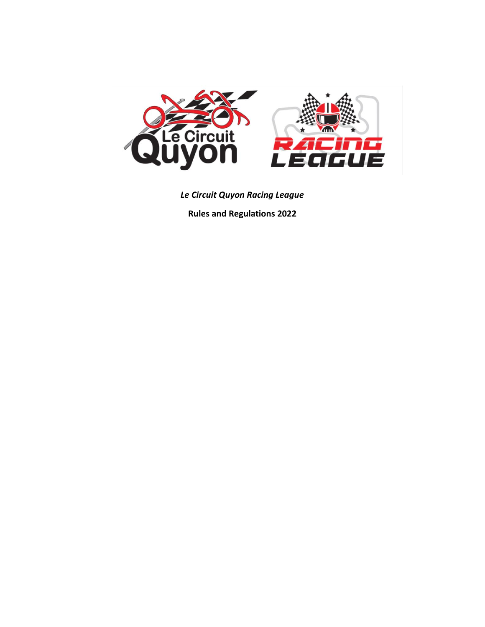

*Le Circuit Quyon Racing League* 

**Rules and Regulations 2022**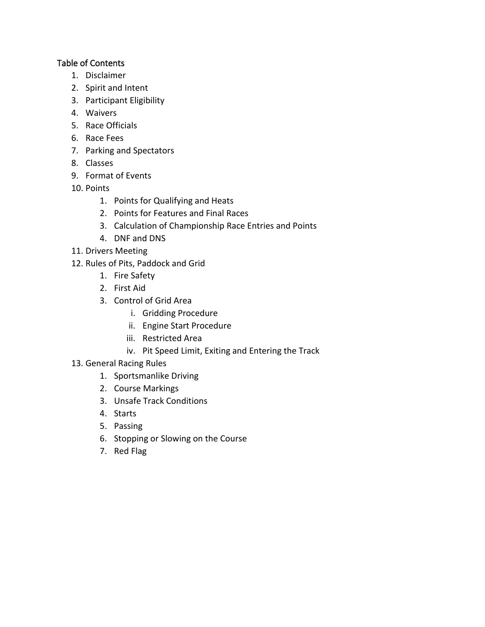### Table of Contents

- 1. Disclaimer
- 2. Spirit and Intent
- 3. Participant Eligibility
- 4. Waivers
- 5. Race Officials
- 6. Race Fees
- 7. Parking and Spectators
- 8. Classes
- 9. Format of Events
- 10. Points
	- 1. Points for Qualifying and Heats
	- 2. Points for Features and Final Races
	- 3. Calculation of Championship Race Entries and Points
	- 4. DNF and DNS
- 11. Drivers Meeting
- 12. Rules of Pits, Paddock and Grid
	- 1. Fire Safety
	- 2. First Aid
	- 3. Control of Grid Area
		- i. Gridding Procedure
		- ii. Engine Start Procedure
		- iii. Restricted Area
		- iv. Pit Speed Limit, Exiting and Entering the Track
- 13. General Racing Rules
	- 1. Sportsmanlike Driving
	- 2. Course Markings
	- 3. Unsafe Track Conditions
	- 4. Starts
	- 5. Passing
	- 6. Stopping or Slowing on the Course
	- 7. Red Flag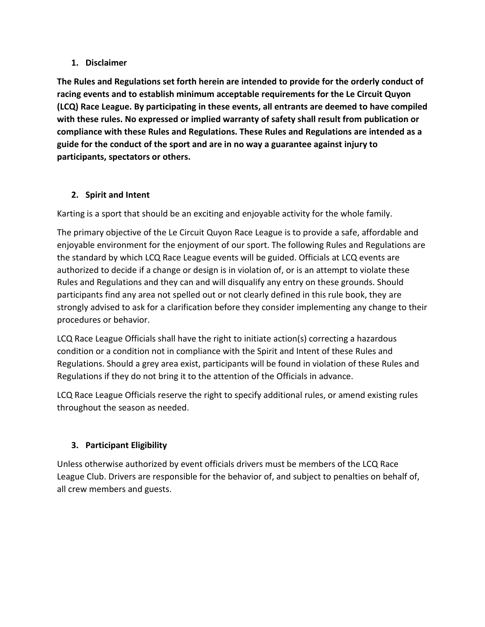### **1. Disclaimer**

**The Rules and Regulations set forth herein are intended to provide for the orderly conduct of racing events and to establish minimum acceptable requirements for the Le Circuit Quyon (LCQ) Race League. By participating in these events, all entrants are deemed to have compiled with these rules. No expressed or implied warranty of safety shall result from publication or compliance with these Rules and Regulations. These Rules and Regulations are intended as a guide for the conduct of the sport and are in no way a guarantee against injury to participants, spectators or others.** 

## **2. Spirit and Intent**

Karting is a sport that should be an exciting and enjoyable activity for the whole family.

The primary objective of the Le Circuit Quyon Race League is to provide a safe, affordable and enjoyable environment for the enjoyment of our sport. The following Rules and Regulations are the standard by which LCQ Race League events will be guided. Officials at LCQ events are authorized to decide if a change or design is in violation of, or is an attempt to violate these Rules and Regulations and they can and will disqualify any entry on these grounds. Should participants find any area not spelled out or not clearly defined in this rule book, they are strongly advised to ask for a clarification before they consider implementing any change to their procedures or behavior.

LCQ Race League Officials shall have the right to initiate action(s) correcting a hazardous condition or a condition not in compliance with the Spirit and Intent of these Rules and Regulations. Should a grey area exist, participants will be found in violation of these Rules and Regulations if they do not bring it to the attention of the Officials in advance.

LCQ Race League Officials reserve the right to specify additional rules, or amend existing rules throughout the season as needed.

## **3. Participant Eligibility**

Unless otherwise authorized by event officials drivers must be members of the LCQ Race League Club. Drivers are responsible for the behavior of, and subject to penalties on behalf of, all crew members and guests.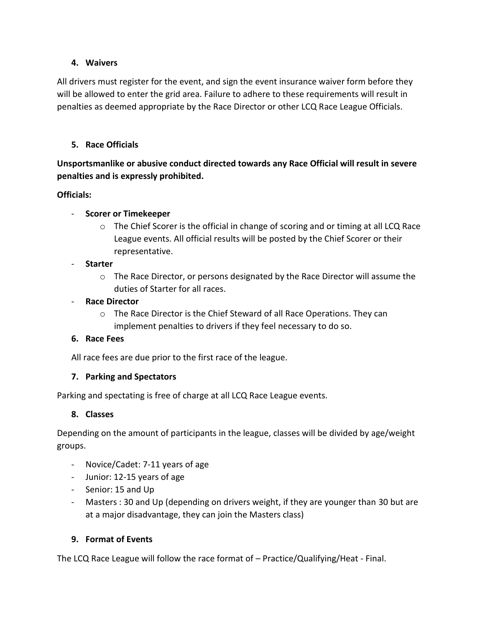#### **4. Waivers**

All drivers must register for the event, and sign the event insurance waiver form before they will be allowed to enter the grid area. Failure to adhere to these requirements will result in penalties as deemed appropriate by the Race Director or other LCQ Race League Officials.

### **5. Race Officials**

**Unsportsmanlike or abusive conduct directed towards any Race Official will result in severe penalties and is expressly prohibited.** 

### **Officials:**

### - **Scorer or Timekeeper**

o The Chief Scorer is the official in change of scoring and or timing at all LCQ Race League events. All official results will be posted by the Chief Scorer or their representative.

### - **Starter**

 $\circ$  The Race Director, or persons designated by the Race Director will assume the duties of Starter for all races.

### - **Race Director**

o The Race Director is the Chief Steward of all Race Operations. They can implement penalties to drivers if they feel necessary to do so.

### **6. Race Fees**

All race fees are due prior to the first race of the league.

## **7. Parking and Spectators**

Parking and spectating is free of charge at all LCQ Race League events.

### **8. Classes**

Depending on the amount of participants in the league, classes will be divided by age/weight groups.

- Novice/Cadet: 7-11 years of age
- Junior: 12-15 years of age
- Senior: 15 and Up
- Masters : 30 and Up (depending on drivers weight, if they are younger than 30 but are at a major disadvantage, they can join the Masters class)

### **9. Format of Events**

The LCQ Race League will follow the race format of – Practice/Qualifying/Heat - Final.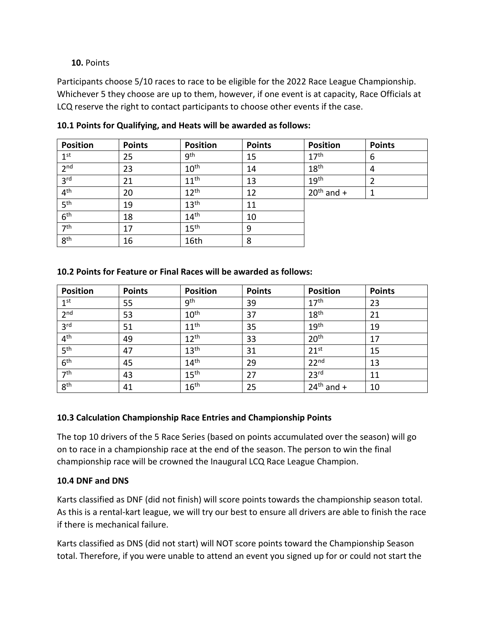### **10.** Points

Participants choose 5/10 races to race to be eligible for the 2022 Race League Championship. Whichever 5 they choose are up to them, however, if one event is at capacity, Race Officials at LCQ reserve the right to contact participants to choose other events if the case.

| <b>Position</b> | <b>Points</b> | <b>Position</b>  | <b>Points</b> | <b>Position</b>  | <b>Points</b> |
|-----------------|---------------|------------------|---------------|------------------|---------------|
| 1 <sup>st</sup> | 25            | gth              | 15            | 17 <sup>th</sup> | 6             |
| 2 <sub>nd</sub> | 23            | 10 <sup>th</sup> | 14            | 18 <sup>th</sup> | 4             |
| 3 <sup>rd</sup> | 21            | 11 <sup>th</sup> | 13            | 19 <sup>th</sup> | າ             |
| 4 <sup>th</sup> | 20            | 12 <sup>th</sup> | 12            | $20th$ and +     |               |
| 5 <sup>th</sup> | 19            | 13 <sup>th</sup> | 11            |                  |               |
| 6 <sup>th</sup> | 18            | 14 <sup>th</sup> | 10            |                  |               |
| 7 <sup>th</sup> | 17            | 15 <sup>th</sup> | 9             |                  |               |
| 8 <sup>th</sup> | 16            | 16th             | 8             |                  |               |

**10.1 Points for Qualifying, and Heats will be awarded as follows:**

### **10.2 Points for Feature or Final Races will be awarded as follows:**

| <b>Position</b> | <b>Points</b> | <b>Position</b>  | <b>Points</b> | <b>Position</b>  | <b>Points</b> |
|-----------------|---------------|------------------|---------------|------------------|---------------|
| 1 <sup>st</sup> | 55            | <b>gth</b>       | 39            | 17 <sup>th</sup> | 23            |
| 2 <sub>nd</sub> | 53            | 10 <sup>th</sup> | 37            | 18 <sup>th</sup> | 21            |
| 3 <sup>rd</sup> | 51            | 11 <sup>th</sup> | 35            | 19 <sup>th</sup> | 19            |
| 4 <sup>th</sup> | 49            | 12 <sup>th</sup> | 33            | 20 <sup>th</sup> | 17            |
| 5 <sup>th</sup> | 47            | 13 <sup>th</sup> | 31            | $21^{st}$        | 15            |
| 6 <sup>th</sup> | 45            | 14 <sup>th</sup> | 29            | 22 <sup>nd</sup> | 13            |
| 7 <sup>th</sup> | 43            | 15 <sup>th</sup> | 27            | 23 <sup>rd</sup> | 11            |
| 8 <sup>th</sup> | 41            | 16 <sup>th</sup> | 25            | $24th$ and +     | 10            |

## **10.3 Calculation Championship Race Entries and Championship Points**

The top 10 drivers of the 5 Race Series (based on points accumulated over the season) will go on to race in a championship race at the end of the season. The person to win the final championship race will be crowned the Inaugural LCQ Race League Champion.

### **10.4 DNF and DNS**

Karts classified as DNF (did not finish) will score points towards the championship season total. As this is a rental-kart league, we will try our best to ensure all drivers are able to finish the race if there is mechanical failure.

Karts classified as DNS (did not start) will NOT score points toward the Championship Season total. Therefore, if you were unable to attend an event you signed up for or could not start the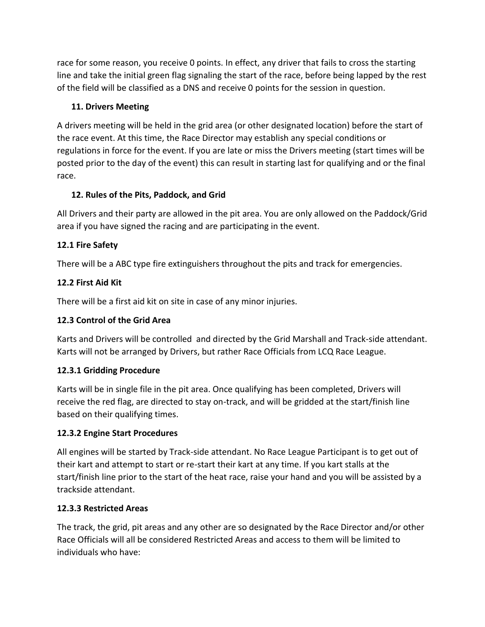race for some reason, you receive 0 points. In effect, any driver that fails to cross the starting line and take the initial green flag signaling the start of the race, before being lapped by the rest of the field will be classified as a DNS and receive 0 points for the session in question.

## **11. Drivers Meeting**

A drivers meeting will be held in the grid area (or other designated location) before the start of the race event. At this time, the Race Director may establish any special conditions or regulations in force for the event. If you are late or miss the Drivers meeting (start times will be posted prior to the day of the event) this can result in starting last for qualifying and or the final race.

# **12. Rules of the Pits, Paddock, and Grid**

All Drivers and their party are allowed in the pit area. You are only allowed on the Paddock/Grid area if you have signed the racing and are participating in the event.

# **12.1 Fire Safety**

There will be a ABC type fire extinguishers throughout the pits and track for emergencies.

# **12.2 First Aid Kit**

There will be a first aid kit on site in case of any minor injuries.

# **12.3 Control of the Grid Area**

Karts and Drivers will be controlled and directed by the Grid Marshall and Track-side attendant. Karts will not be arranged by Drivers, but rather Race Officials from LCQ Race League.

## **12.3.1 Gridding Procedure**

Karts will be in single file in the pit area. Once qualifying has been completed, Drivers will receive the red flag, are directed to stay on-track, and will be gridded at the start/finish line based on their qualifying times.

# **12.3.2 Engine Start Procedures**

All engines will be started by Track-side attendant. No Race League Participant is to get out of their kart and attempt to start or re-start their kart at any time. If you kart stalls at the start/finish line prior to the start of the heat race, raise your hand and you will be assisted by a trackside attendant.

## **12.3.3 Restricted Areas**

The track, the grid, pit areas and any other are so designated by the Race Director and/or other Race Officials will all be considered Restricted Areas and access to them will be limited to individuals who have: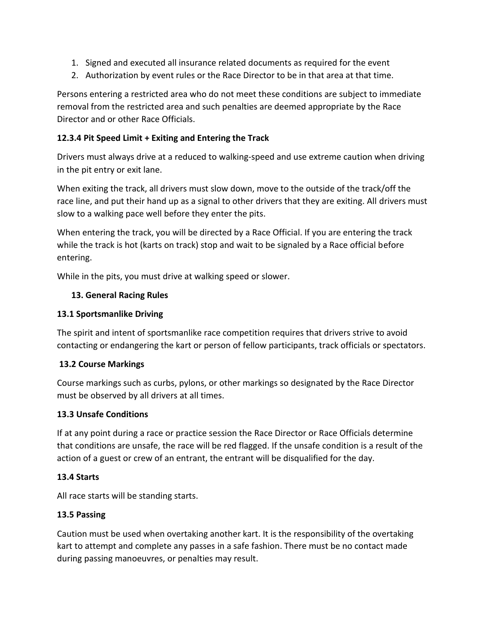- 1. Signed and executed all insurance related documents as required for the event
- 2. Authorization by event rules or the Race Director to be in that area at that time.

Persons entering a restricted area who do not meet these conditions are subject to immediate removal from the restricted area and such penalties are deemed appropriate by the Race Director and or other Race Officials.

### **12.3.4 Pit Speed Limit + Exiting and Entering the Track**

Drivers must always drive at a reduced to walking-speed and use extreme caution when driving in the pit entry or exit lane.

When exiting the track, all drivers must slow down, move to the outside of the track/off the race line, and put their hand up as a signal to other drivers that they are exiting. All drivers must slow to a walking pace well before they enter the pits.

When entering the track, you will be directed by a Race Official. If you are entering the track while the track is hot (karts on track) stop and wait to be signaled by a Race official before entering.

While in the pits, you must drive at walking speed or slower.

### **13. General Racing Rules**

### **13.1 Sportsmanlike Driving**

The spirit and intent of sportsmanlike race competition requires that drivers strive to avoid contacting or endangering the kart or person of fellow participants, track officials or spectators.

## **13.2 Course Markings**

Course markings such as curbs, pylons, or other markings so designated by the Race Director must be observed by all drivers at all times.

### **13.3 Unsafe Conditions**

If at any point during a race or practice session the Race Director or Race Officials determine that conditions are unsafe, the race will be red flagged. If the unsafe condition is a result of the action of a guest or crew of an entrant, the entrant will be disqualified for the day.

## **13.4 Starts**

All race starts will be standing starts.

### **13.5 Passing**

Caution must be used when overtaking another kart. It is the responsibility of the overtaking kart to attempt and complete any passes in a safe fashion. There must be no contact made during passing manoeuvres, or penalties may result.